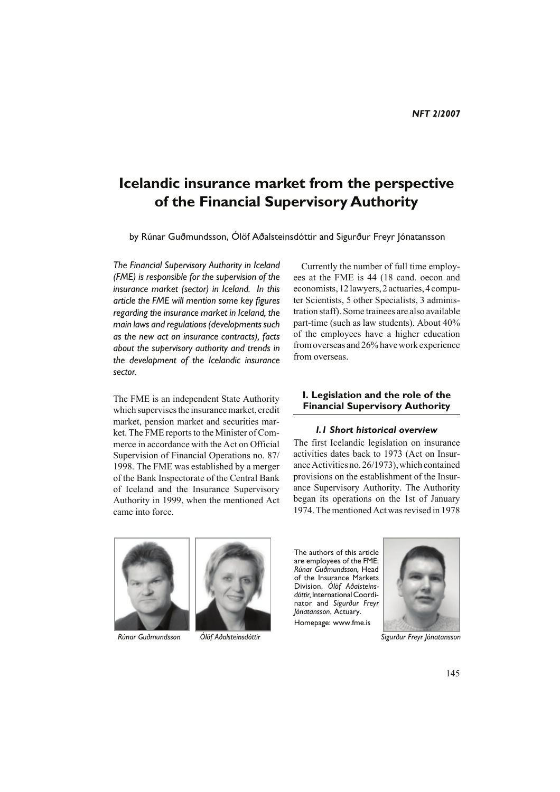# **Icelandic insurance market from the perspective of the Financial Supervisory Authority**

by Rúnar Guðmundsson, Ólöf Aðalsteinsdóttir and Sigurður Freyr Jónatansson

*The Financial Supervisory Authority in Iceland (FME) is responsible for the supervision of the insurance market (sector) in Iceland. In this article the FME will mention some key figures regarding the insurance market in Iceland, the main laws and regulations (developments such as the new act on insurance contracts), facts about the supervisory authority and trends in the development of the Icelandic insurance sector.*

The FME is an independent State Authority which supervises the insurance market, credit market, pension market and securities market. The FME reports to the Minister of Commerce in accordance with the Act on Official Supervision of Financial Operations no. 87/ 1998. The FME was established by a merger of the Bank Inspectorate of the Central Bank of Iceland and the Insurance Supervisory Authority in 1999, when the mentioned Act came into force.

Currently the number of full time employees at the FME is 44 (18 cand. oecon and economists, 12 lawyers, 2 actuaries, 4 computer Scientists, 5 other Specialists, 3 administration staff). Some trainees are also available part-time (such as law students). About 40% of the employees have a higher education from overseas and 26% have work experience from overseas.

# **I. Legislation and the role of the Financial Supervisory Authority**

#### *I.1 Short historical overview*

The first Icelandic legislation on insurance activities dates back to 1973 (Act on Insurance Activities no. 26/1973), which contained provisions on the establishment of the Insurance Supervisory Authority. The Authority began its operations on the 1st of January 1974. The mentioned Act was revised in 1978





The authors of this article are employees of the FME; *Rúnar Guðmundsson,* Head of the Insurance Markets Division, *Ólöf Aðalsteinsdóttir,* International Coordinator and *Sigurður Freyr Jónatansson*, Actuary. Homepage: www.fme.is



 *Rúnar Guðmundsson Ólöf Aðalsteinsdóttir Sigurður Freyr Jónatansson*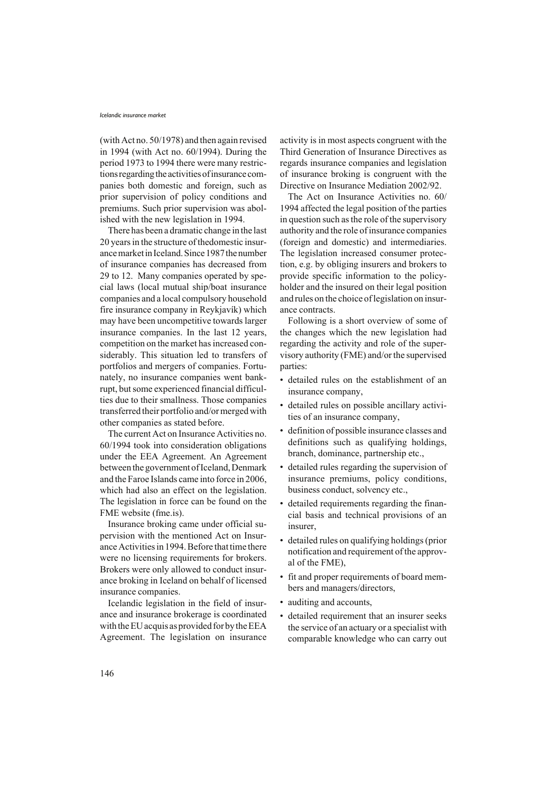#### *Icelandic insurance market*

(with Act no. 50/1978) and then again revised in 1994 (with Act no. 60/1994). During the period 1973 to 1994 there were many restrictions regarding the activities of insurance companies both domestic and foreign, such as prior supervision of policy conditions and premiums. Such prior supervision was abolished with the new legislation in 1994.

There has been a dramatic change in the last 20 years in the structure of thedomestic insurance market in Iceland. Since 1987 the number of insurance companies has decreased from 29 to 12. Many companies operated by special laws (local mutual ship/boat insurance companies and a local compulsory household fire insurance company in Reykjavík) which may have been uncompetitive towards larger insurance companies. In the last 12 years, competition on the market has increased considerably. This situation led to transfers of portfolios and mergers of companies. Fortunately, no insurance companies went bankrupt, but some experienced financial difficulties due to their smallness. Those companies transferred their portfolio and/or merged with other companies as stated before.

The current Act on Insurance Activities no. 60/1994 took into consideration obligations under the EEA Agreement. An Agreement between the government of Iceland, Denmark and the Faroe Islands came into force in 2006, which had also an effect on the legislation. The legislation in force can be found on the FME website (fme.is).

Insurance broking came under official supervision with the mentioned Act on Insurance Activities in 1994. Before that time there were no licensing requirements for brokers. Brokers were only allowed to conduct insurance broking in Iceland on behalf of licensed insurance companies.

Icelandic legislation in the field of insurance and insurance brokerage is coordinated with the EU acquis as provided for by the EEA Agreement. The legislation on insurance activity is in most aspects congruent with the Third Generation of Insurance Directives as regards insurance companies and legislation of insurance broking is congruent with the Directive on Insurance Mediation 2002/92.

The Act on Insurance Activities no. 60/ 1994 affected the legal position of the parties in question such as the role of the supervisory authority and the role of insurance companies (foreign and domestic) and intermediaries. The legislation increased consumer protection, e.g. by obliging insurers and brokers to provide specific information to the policyholder and the insured on their legal position and rules on the choice of legislation on insurance contracts.

Following is a short overview of some of the changes which the new legislation had regarding the activity and role of the supervisory authority (FME) and/or the supervised parties:

- detailed rules on the establishment of an insurance company,
- detailed rules on possible ancillary activities of an insurance company,
- definition of possible insurance classes and definitions such as qualifying holdings, branch, dominance, partnership etc.,
- detailed rules regarding the supervision of insurance premiums, policy conditions, business conduct, solvency etc.,
- detailed requirements regarding the financial basis and technical provisions of an insurer,
- detailed rules on qualifying holdings (prior notification and requirement of the approval of the FME),
- fit and proper requirements of board members and managers/directors,
- auditing and accounts,
- detailed requirement that an insurer seeks the service of an actuary or a specialist with comparable knowledge who can carry out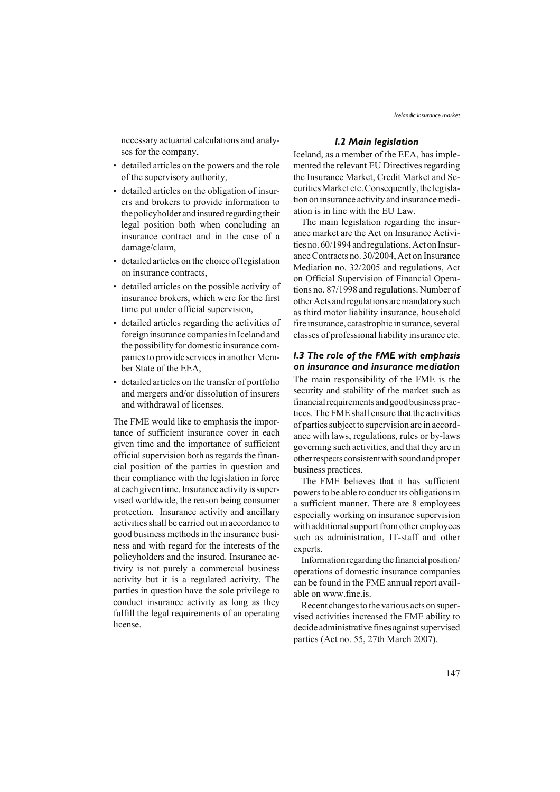necessary actuarial calculations and analyses for the company,

- detailed articles on the powers and the role of the supervisory authority,
- detailed articles on the obligation of insurers and brokers to provide information to the policyholder and insured regarding their legal position both when concluding an insurance contract and in the case of a damage/claim,
- detailed articles on the choice of legislation on insurance contracts,
- detailed articles on the possible activity of insurance brokers, which were for the first time put under official supervision,
- detailed articles regarding the activities of foreign insurance companies in Iceland and the possibility for domestic insurance companies to provide services in another Member State of the EEA,
- detailed articles on the transfer of portfolio and mergers and/or dissolution of insurers and withdrawal of licenses.

The FME would like to emphasis the importance of sufficient insurance cover in each given time and the importance of sufficient official supervision both as regards the financial position of the parties in question and their compliance with the legislation in force at each given time. Insurance activity is supervised worldwide, the reason being consumer protection. Insurance activity and ancillary activities shall be carried out in accordance to good business methods in the insurance business and with regard for the interests of the policyholders and the insured. Insurance activity is not purely a commercial business activity but it is a regulated activity. The parties in question have the sole privilege to conduct insurance activity as long as they fulfill the legal requirements of an operating license.

## *I.2 Main legislation*

Iceland, as a member of the EEA, has implemented the relevant EU Directives regarding the Insurance Market, Credit Market and Securities Market etc. Consequently, the legislation on insurance activity and insurance mediation is in line with the EU Law.

The main legislation regarding the insurance market are the Act on Insurance Activities no. 60/1994 and regulations, Act on Insurance Contracts no. 30/2004, Act on Insurance Mediation no. 32/2005 and regulations, Act on Official Supervision of Financial Operations no. 87/1998 and regulations. Number of other Acts and regulations are mandatory such as third motor liability insurance, household fire insurance, catastrophic insurance, several classes of professional liability insurance etc.

### *I.3 The role of the FME with emphasis on insurance and insurance mediation*

The main responsibility of the FME is the security and stability of the market such as financial requirements and good business practices. The FME shall ensure that the activities of parties subject to supervision are in accordance with laws, regulations, rules or by-laws governing such activities, and that they are in other respects consistent with sound and proper business practices.

The FME believes that it has sufficient powers to be able to conduct its obligations in a sufficient manner. There are 8 employees especially working on insurance supervision with additional support from other employees such as administration, IT-staff and other experts.

Information regarding the financial position/ operations of domestic insurance companies can be found in the FME annual report available on www.fme.is.

Recent changes to the various acts on supervised activities increased the FME ability to decide administrative fines against supervised parties (Act no. 55, 27th March 2007).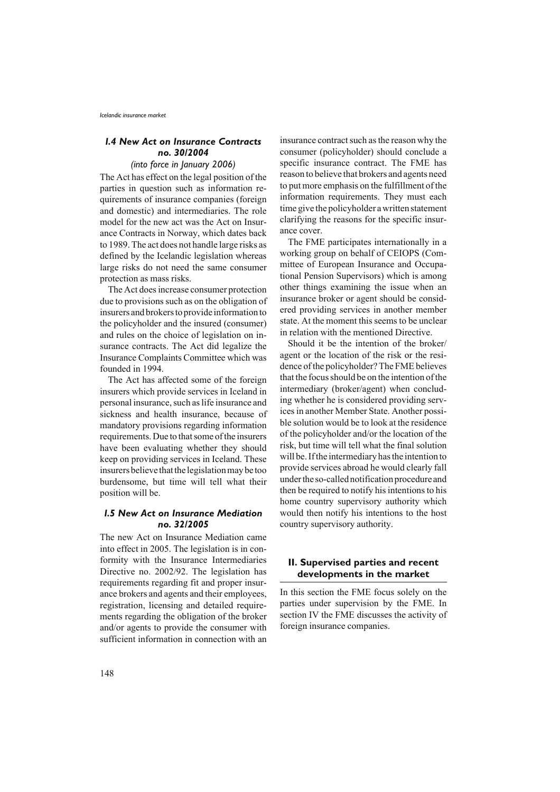# *I.4 New Act on Insurance Contracts no. 30/2004*

# *(into force in January 2006)*

The Act has effect on the legal position of the parties in question such as information requirements of insurance companies (foreign and domestic) and intermediaries. The role model for the new act was the Act on Insurance Contracts in Norway, which dates back to 1989. The act does not handle large risks as defined by the Icelandic legislation whereas large risks do not need the same consumer protection as mass risks.

The Act does increase consumer protection due to provisions such as on the obligation of insurers and brokers to provide information to the policyholder and the insured (consumer) and rules on the choice of legislation on insurance contracts. The Act did legalize the Insurance Complaints Committee which was founded in 1994.

The Act has affected some of the foreign insurers which provide services in Iceland in personal insurance, such as life insurance and sickness and health insurance, because of mandatory provisions regarding information requirements. Due to that some of the insurers have been evaluating whether they should keep on providing services in Iceland. These insurers believe that the legislation may be too burdensome, but time will tell what their position will be.

## *I.5 New Act on Insurance Mediation no. 32/2005*

The new Act on Insurance Mediation came into effect in 2005. The legislation is in conformity with the Insurance Intermediaries Directive no. 2002/92. The legislation has requirements regarding fit and proper insurance brokers and agents and their employees, registration, licensing and detailed requirements regarding the obligation of the broker and/or agents to provide the consumer with sufficient information in connection with an insurance contract such as the reason why the consumer (policyholder) should conclude a specific insurance contract. The FME has reason to believe that brokers and agents need to put more emphasis on the fulfillment of the information requirements. They must each time give the policyholder a written statement clarifying the reasons for the specific insurance cover.

The FME participates internationally in a working group on behalf of CEIOPS (Committee of European Insurance and Occupational Pension Supervisors) which is among other things examining the issue when an insurance broker or agent should be considered providing services in another member state. At the moment this seems to be unclear in relation with the mentioned Directive.

Should it be the intention of the broker/ agent or the location of the risk or the residence of the policyholder? The FME believes that the focus should be on the intention of the intermediary (broker/agent) when concluding whether he is considered providing services in another Member State. Another possible solution would be to look at the residence of the policyholder and/or the location of the risk, but time will tell what the final solution will be. If the intermediary has the intention to provide services abroad he would clearly fall under the so-called notification procedure and then be required to notify his intentions to his home country supervisory authority which would then notify his intentions to the host country supervisory authority.

## **II. Supervised parties and recent developments in the market**

In this section the FME focus solely on the parties under supervision by the FME. In section IV the FME discusses the activity of foreign insurance companies.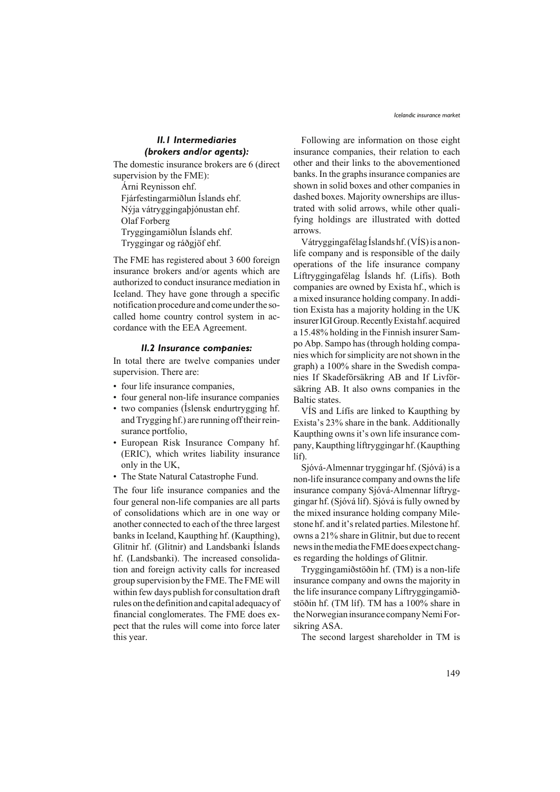# *II.1 Intermediaries (brokers and/or agents):*

The domestic insurance brokers are 6 (direct supervision by the FME):

Árni Reynisson ehf. Fjárfestingarmiðlun Íslands ehf. Nýja vátryggingaþjónustan ehf. Olaf Forberg Tryggingamiðlun Íslands ehf. Tryggingar og ráðgjöf ehf.

The FME has registered about 3 600 foreign insurance brokers and/or agents which are authorized to conduct insurance mediation in Iceland. They have gone through a specific notification procedure and come under the socalled home country control system in accordance with the EEA Agreement.

#### *II.2 Insurance companies:*

In total there are twelve companies under supervision. There are:

- four life insurance companies,
- four general non-life insurance companies
- two companies (Íslensk endurtrygging hf. and Trygging hf.) are running off their reinsurance portfolio,
- European Risk Insurance Company hf. (ERIC), which writes liability insurance only in the UK,
- The State Natural Catastrophe Fund.

The four life insurance companies and the four general non-life companies are all parts of consolidations which are in one way or another connected to each of the three largest banks in Iceland, Kaupthing hf. (Kaupthing), Glitnir hf. (Glitnir) and Landsbanki Íslands hf. (Landsbanki). The increased consolidation and foreign activity calls for increased group supervision by the FME. The FME will within few days publish for consultation draft rules on the definition and capital adequacy of financial conglomerates. The FME does expect that the rules will come into force later this year.

Following are information on those eight insurance companies, their relation to each other and their links to the abovementioned banks. In the graphs insurance companies are shown in solid boxes and other companies in dashed boxes. Majority ownerships are illustrated with solid arrows, while other qualifying holdings are illustrated with dotted arrows.

Vátryggingafélag Íslands hf. (VÍS) is a nonlife company and is responsible of the daily operations of the life insurance company Líftryggingafélag Íslands hf. (Lífís). Both companies are owned by Exista hf., which is a mixed insurance holding company. In addition Exista has a majority holding in the UK insurer IGI Group. Recently Exista hf. acquired a 15.48% holding in the Finnish insurer Sampo Abp. Sampo has (through holding companies which for simplicity are not shown in the graph) a 100% share in the Swedish companies If Skadeförsäkring AB and If Livförsäkring AB. It also owns companies in the Baltic states.

VÍS and Lífís are linked to Kaupthing by Exista's 23% share in the bank. Additionally Kaupthing owns it's own life insurance company, Kaupthing líftryggingar hf. (Kaupthing líf).

Sjóvá-Almennar tryggingar hf. (Sjóvá) is a non-life insurance company and owns the life insurance company Sjóvá-Almennar líftryggingar hf. (Sjóvá líf). Sjóvá is fully owned by the mixed insurance holding company Milestone hf. and it's related parties. Milestone hf. owns a 21% share in Glitnir, but due to recent news in the media the FME does expect changes regarding the holdings of Glitnir.

Tryggingamiðstöðin hf. (TM) is a non-life insurance company and owns the majority in the life insurance company Líftryggingamiðstöðin hf. (TM líf). TM has a 100% share in the Norwegian insurance company Nemi Forsikring ASA.

The second largest shareholder in TM is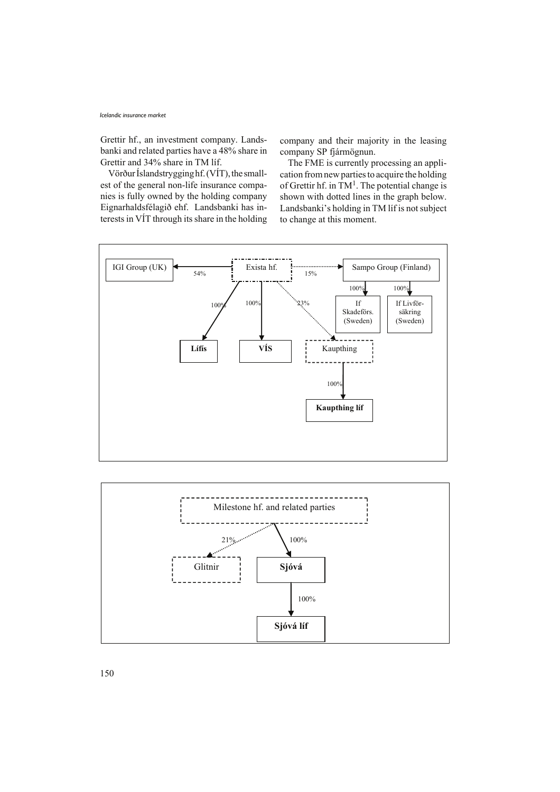#### *Icelandic insurance market*

Grettir hf., an investment company. Landsbanki and related parties have a 48% share in Grettir and 34% share in TM líf.

Vörður Íslandstrygging hf. (VÍT), the smallest of the general non-life insurance companies is fully owned by the holding company Eignarhaldsfélagið ehf. Landsbanki has interests in VÍT through its share in the holding

company and their majority in the leasing company SP fjármögnun.

The FME is currently processing an application from new parties to acquire the holding of Grettir hf. in  $TM^1$ . The potential change is shown with dotted lines in the graph below. Landsbanki's holding in TM líf is not subject to change at this moment.



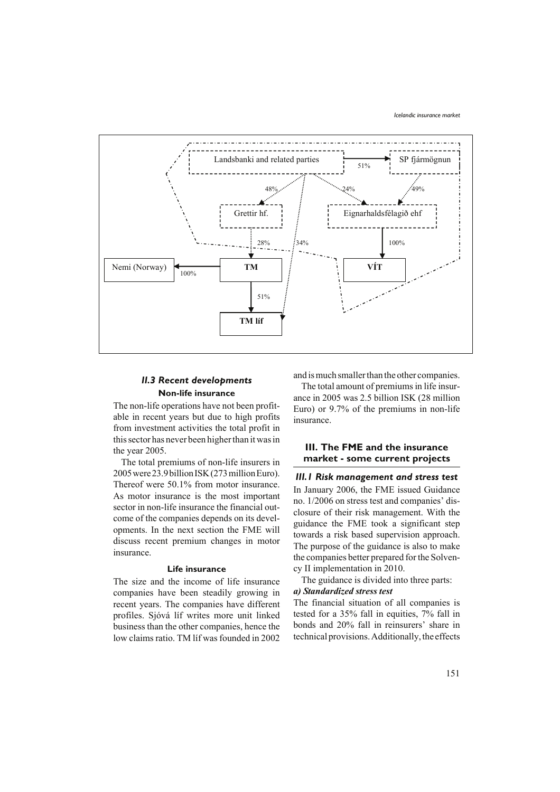

# *II.3 Recent developments* **Non-life insurance**

The non-life operations have not been profitable in recent years but due to high profits from investment activities the total profit in this sector has never been higher than it was in the year 2005.

The total premiums of non-life insurers in 2005 were 23.9 billion ISK (273 million Euro). Thereof were 50.1% from motor insurance. As motor insurance is the most important sector in non-life insurance the financial outcome of the companies depends on its developments. In the next section the FME will discuss recent premium changes in motor insurance.

#### **Life insurance**

The size and the income of life insurance companies have been steadily growing in recent years. The companies have different profiles. Sjóvá líf writes more unit linked business than the other companies, hence the low claims ratio. TM líf was founded in 2002

and is much smaller than the other companies.

The total amount of premiums in life insurance in 2005 was 2.5 billion ISK (28 million Euro) or 9.7% of the premiums in non-life insurance.

## **III. The FME and the insurance market - some current projects**

*III.1 Risk management and stress test* In January 2006, the FME issued Guidance no. 1/2006 on stress test and companies' disclosure of their risk management. With the guidance the FME took a significant step towards a risk based supervision approach. The purpose of the guidance is also to make the companies better prepared for the Solvency II implementation in 2010.

The guidance is divided into three parts: *a) Standardized stress test*

The financial situation of all companies is tested for a 35% fall in equities, 7% fall in bonds and 20% fall in reinsurers' share in technical provisions. Additionally, the effects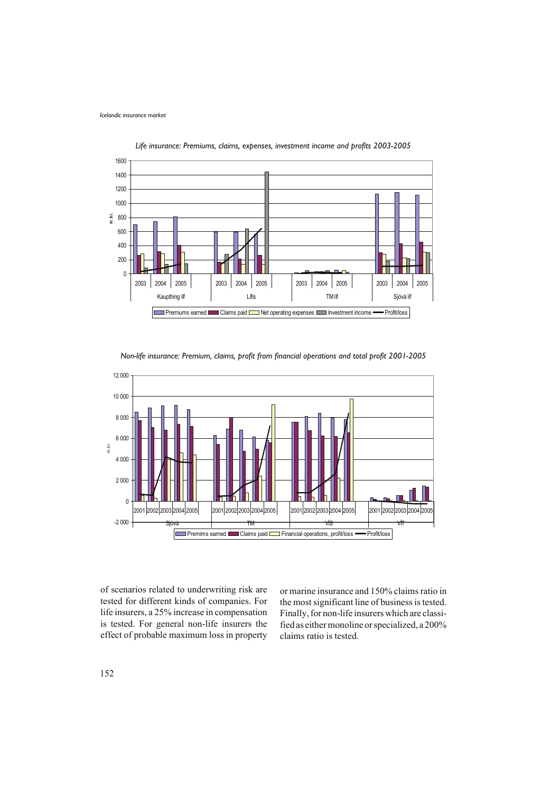

*Life insurance: Premiums, claims, expenses, investment income and profits 2003-2005*

*Non-life insurance: Premium, claims, profit from financial operations and total profit 2001-2005*



of scenarios related to underwriting risk are tested for different kinds of companies. For life insurers, a 25% increase in compensation is tested. For general non-life insurers the effect of probable maximum loss in property or marine insurance and 150% claims ratio in the most significant line of business is tested. Finally, for non-life insurers which are classified as either monoline or specialized, a 200% claims ratio is tested.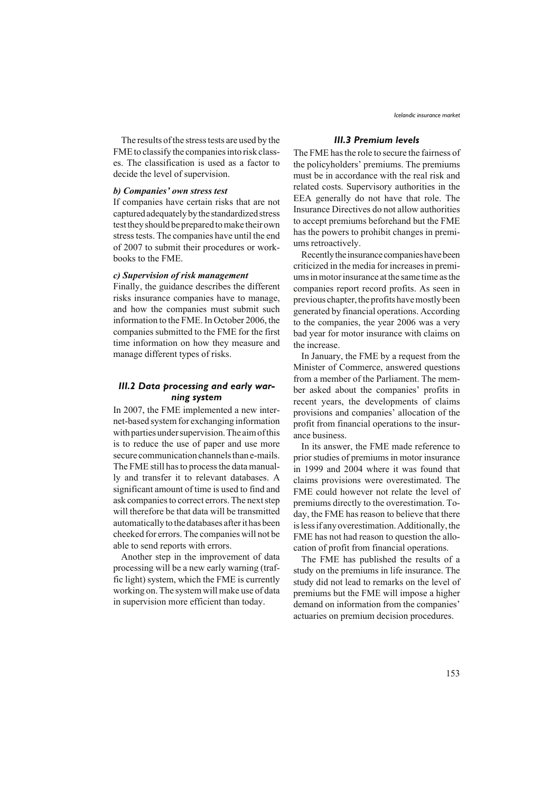The results of the stress tests are used by the FME to classify the companies into risk classes. The classification is used as a factor to decide the level of supervision.

## *b) Companies' own stress test*

If companies have certain risks that are not captured adequately by the standardized stress test they should be prepared to make their own stress tests. The companies have until the end of 2007 to submit their procedures or workbooks to the FME.

# *c) Supervision of risk management*

Finally, the guidance describes the different risks insurance companies have to manage, and how the companies must submit such information to the FME. In October 2006, the companies submitted to the FME for the first time information on how they measure and manage different types of risks.

# *III.2 Data processing and early warning system*

In 2007, the FME implemented a new internet-based system for exchanging information with parties under supervision. The aim of this is to reduce the use of paper and use more secure communication channels than e-mails. The FME still has to process the data manually and transfer it to relevant databases. A significant amount of time is used to find and ask companies to correct errors. The next step will therefore be that data will be transmitted automatically to the databases after it has been cheeked for errors. The companies will not be able to send reports with errors.

Another step in the improvement of data processing will be a new early warning (traffic light) system, which the FME is currently working on. The system will make use of data in supervision more efficient than today.

## *III.3 Premium levels*

The FME has the role to secure the fairness of the policyholders' premiums. The premiums must be in accordance with the real risk and related costs. Supervisory authorities in the EEA generally do not have that role. The Insurance Directives do not allow authorities to accept premiums beforehand but the FME has the powers to prohibit changes in premiums retroactively.

Recently the insurance companies have been criticized in the media for increases in premiums in motor insurance at the same time as the companies report record profits. As seen in previous chapter, the profits have mostly been generated by financial operations. According to the companies, the year 2006 was a very bad year for motor insurance with claims on the increase.

In January, the FME by a request from the Minister of Commerce, answered questions from a member of the Parliament. The member asked about the companies' profits in recent years, the developments of claims provisions and companies' allocation of the profit from financial operations to the insurance business.

In its answer, the FME made reference to prior studies of premiums in motor insurance in 1999 and 2004 where it was found that claims provisions were overestimated. The FME could however not relate the level of premiums directly to the overestimation. Today, the FME has reason to believe that there is less if any overestimation. Additionally, the FME has not had reason to question the allocation of profit from financial operations.

The FME has published the results of a study on the premiums in life insurance. The study did not lead to remarks on the level of premiums but the FME will impose a higher demand on information from the companies' actuaries on premium decision procedures.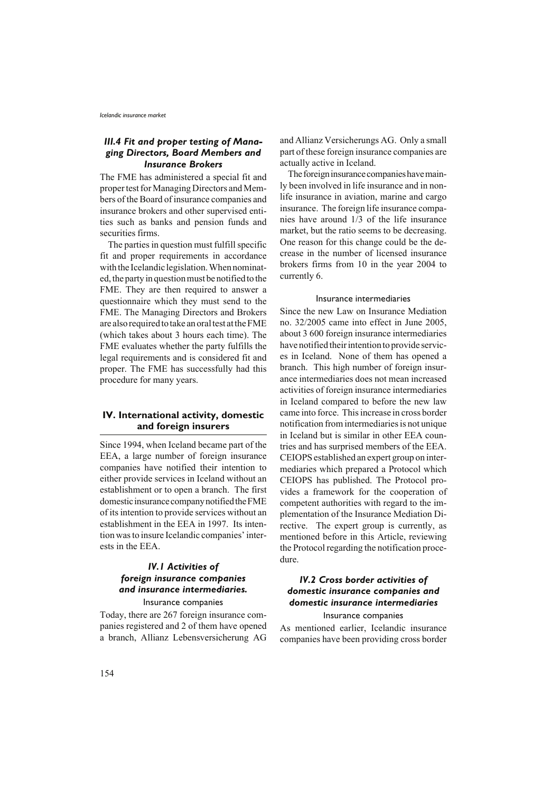# *III.4 Fit and proper testing of Managing Directors, Board Members and Insurance Brokers*

The FME has administered a special fit and proper test for Managing Directors and Members of the Board of insurance companies and insurance brokers and other supervised entities such as banks and pension funds and securities firms.

The parties in question must fulfill specific fit and proper requirements in accordance with the Icelandic legislation. When nominated, the party in question must be notified to the FME. They are then required to answer a questionnaire which they must send to the FME. The Managing Directors and Brokers are also required to take an oral test at the FME (which takes about 3 hours each time). The FME evaluates whether the party fulfills the legal requirements and is considered fit and proper. The FME has successfully had this procedure for many years.

## **IV. International activity, domestic and foreign insurers**

Since 1994, when Iceland became part of the EEA, a large number of foreign insurance companies have notified their intention to either provide services in Iceland without an establishment or to open a branch. The first domestic insurance company notified the FME of its intention to provide services without an establishment in the EEA in 1997. Its intention was to insure Icelandic companies' interests in the EEA.

# *IV.1 Activities of foreign insurance companies and insurance intermediaries.*

Insurance companies Today, there are 267 foreign insurance com-

panies registered and 2 of them have opened a branch, Allianz Lebensversicherung AG and Allianz Versicherungs AG. Only a small part of these foreign insurance companies are actually active in Iceland.

The foreign insurance companies have mainly been involved in life insurance and in nonlife insurance in aviation, marine and cargo insurance. The foreign life insurance companies have around 1/3 of the life insurance market, but the ratio seems to be decreasing. One reason for this change could be the decrease in the number of licensed insurance brokers firms from 10 in the year 2004 to currently 6.

#### Insurance intermediaries

Since the new Law on Insurance Mediation no. 32/2005 came into effect in June 2005, about 3 600 foreign insurance intermediaries have notified their intention to provide services in Iceland. None of them has opened a branch. This high number of foreign insurance intermediaries does not mean increased activities of foreign insurance intermediaries in Iceland compared to before the new law came into force. This increase in cross border notification from intermediaries is not unique in Iceland but is similar in other EEA countries and has surprised members of the EEA. CEIOPS established an expert group on intermediaries which prepared a Protocol which CEIOPS has published. The Protocol provides a framework for the cooperation of competent authorities with regard to the implementation of the Insurance Mediation Directive. The expert group is currently, as mentioned before in this Article, reviewing the Protocol regarding the notification procedure.

# *IV.2 Cross border activities of domestic insurance companies and domestic insurance intermediaries*

## Insurance companies

As mentioned earlier, Icelandic insurance companies have been providing cross border